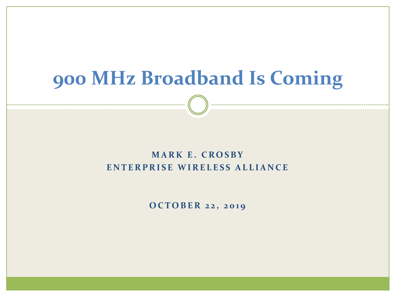## **900 MHz Broadband Is Coming**

### **M A R K E . C R O S B Y ENTERPRISE WIRELESS ALLIANCE**

**O C T O B E R 2 2 , 2 0 1 9**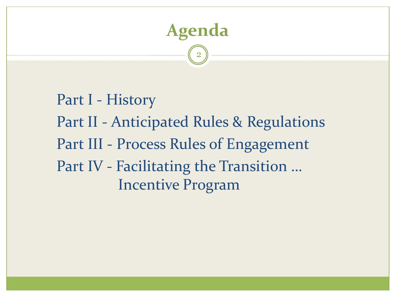

Part I - History Part II - Anticipated Rules & Regulations Part III - Process Rules of Engagement Part IV - Facilitating the Transition … Incentive Program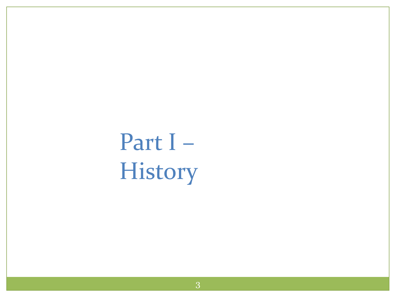Part I – History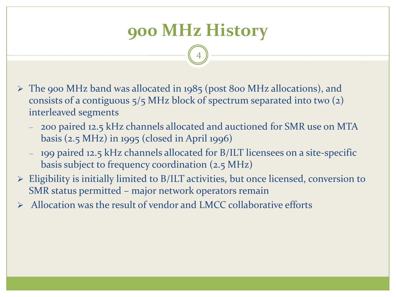## **900 MHz History**

- ➢ The 900 MHz band was allocated in 1985 (post 800 MHz allocations), and consists of a contiguous 5/5 MHz block of spectrum separated into two (2) interleaved segments
	- 200 paired 12.5 kHz channels allocated and auctioned for SMR use on MTA basis (2.5 MHz) in 1995 (closed in April 1996)
	- 199 paired 12.5 kHz channels allocated for B/ILT licensees on a site-specific basis subject to frequency coordination (2.5 MHz)
- ➢ Eligibility is initially limited to B/ILT activities, but once licensed, conversion to SMR status permitted – major network operators remain
- ➢ Allocation was the result of vendor and LMCC collaborative efforts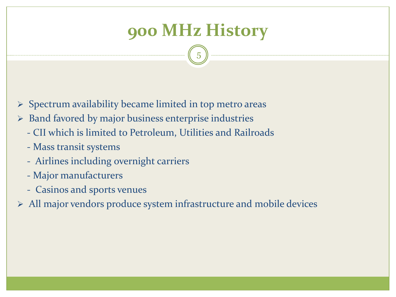## **900 MHz History**

- $\triangleright$  Spectrum availability became limited in top metro areas
- ➢ Band favored by major business enterprise industries
	- CII which is limited to Petroleum, Utilities and Railroads
	- Mass transit systems
	- Airlines including overnight carriers
	- Major manufacturers
	- Casinos and sports venues
- ➢ All major vendors produce system infrastructure and mobile devices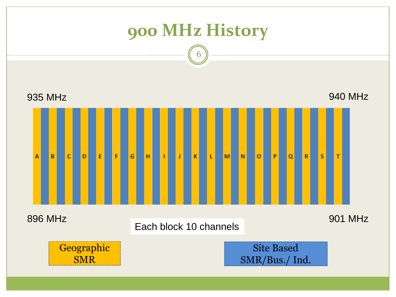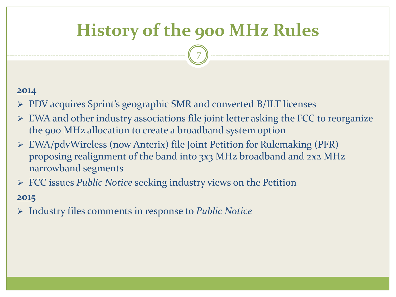### **History of the 900 MHz Rules**

7

#### **2014**

- ➢ PDV acquires Sprint's geographic SMR and converted B/ILT licenses
- ➢ EWA and other industry associations file joint letter asking the FCC to reorganize the 900 MHz allocation to create a broadband system option
- ➢ EWA/pdvWireless (now Anterix) file Joint Petition for Rulemaking (PFR) proposing realignment of the band into 3x3 MHz broadband and 2x2 MHz narrowband segments
- ➢ FCC issues *Public Notice* seeking industry views on the Petition

### **2015**

➢ Industry files comments in response to *Public Notice*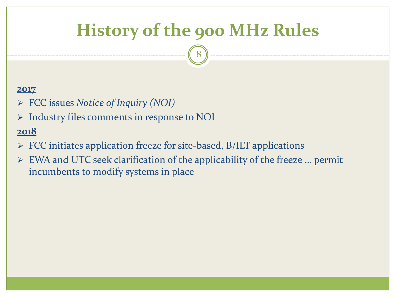### **History of the 900 MHz Rules**

8

#### **2017**

- ➢ FCC issues *Notice of Inquiry (NOI)*
- ➢ Industry files comments in response to NOI

- ➢ FCC initiates application freeze for site-based, B/ILT applications
- ➢ EWA and UTC seek clarification of the applicability of the freeze … permit incumbents to modify systems in place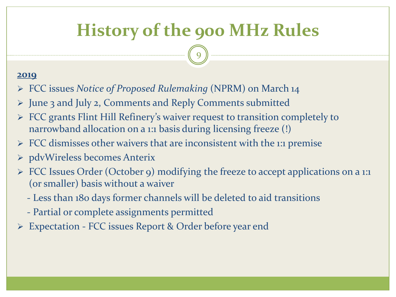### **History of the 900 MHz Rules**

9

- ➢ FCC issues *Notice of Proposed Rulemaking* (NPRM) on March 14
- ➢ June 3 and July 2, Comments and Reply Comments submitted
- ➢ FCC grants Flint Hill Refinery's waiver request to transition completely to narrowband allocation on a 1:1 basis during licensing freeze (!)
- ➢ FCC dismisses other waivers that are inconsistent with the 1:1 premise
- ➢ pdvWireless becomes Anterix
- ➢ FCC Issues Order (October 9) modifying the freeze to accept applications on a 1:1 (or smaller) basis without a waiver
	- Less than 180 days former channels will be deleted to aid transitions
	- Partial or complete assignments permitted
- Expectation FCC issues Report & Order before year end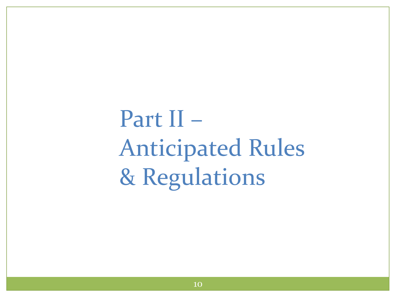Part II – Anticipated Rules & Regulations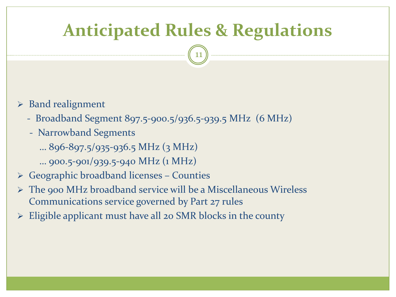### **Anticipated Rules & Regulations**

- ➢ Band realignment
	- Broadband Segment 897.5-900.5/936.5-939.5 MHz (6 MHz)
	- Narrowband Segments
		- … 896-897.5/935-936.5 MHz (3 MHz)
		- … 900.5-901/939.5-940 MHz (1 MHz)
- $\triangleright$  Geographic broadband licenses Counties
- ➢ The 900 MHz broadband service will be a Miscellaneous Wireless Communications service governed by Part 27 rules
- $\triangleright$  Eligible applicant must have all 20 SMR blocks in the county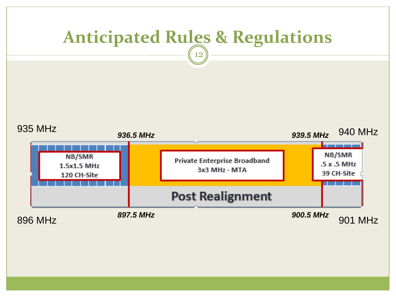![](_page_11_Figure_0.jpeg)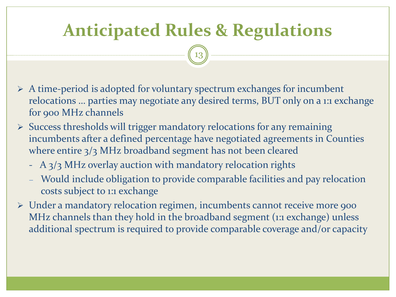## **Anticipated Rules & Regulations**

- ➢ A time-period is adopted for voluntary spectrum exchanges for incumbent relocations … parties may negotiate any desired terms, BUT only on a 1:1 exchange for 900 MHz channels
- ➢ Success thresholds will trigger mandatory relocations for any remaining incumbents after a defined percentage have negotiated agreements in Counties where entire 3/3 MHz broadband segment has not been cleared
	- A 3/3 MHz overlay auction with mandatory relocation rights
	- Would include obligation to provide comparable facilities and pay relocation costs subject to 1:1 exchange
- ➢ Under a mandatory relocation regimen, incumbents cannot receive more 900 MHz channels than they hold in the broadband segment (1:1 exchange) unless additional spectrum is required to provide comparable coverage and/or capacity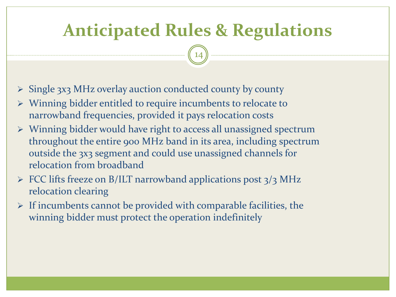### **Anticipated Rules & Regulations**

- ➢ Single 3x3 MHz overlay auction conducted county by county
- ➢ Winning bidder entitled to require incumbents to relocate to narrowband frequencies, provided it pays relocation costs
- ➢ Winning bidder would have right to access all unassigned spectrum throughout the entire 900 MHz band in its area, including spectrum outside the 3x3 segment and could use unassigned channels for relocation from broadband
- $\triangleright$  FCC lifts freeze on B/ILT narrowband applications post  $3/3$  MHz relocation clearing
- $\triangleright$  If incumbents cannot be provided with comparable facilities, the winning bidder must protect the operation indefinitely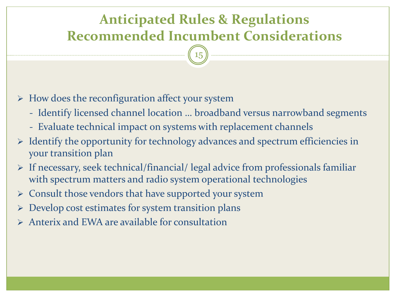### **Anticipated Rules & Regulations Recommended Incumbent Considerations**

15

 $\triangleright$  How does the reconfiguration affect your system

- Identify licensed channel location … broadband versus narrowband segments
- Evaluate technical impact on systems with replacement channels
- ➢ Identify the opportunity for technology advances and spectrum efficiencies in your transition plan
- ➢ If necessary, seek technical/financial/ legal advice from professionals familiar with spectrum matters and radio system operational technologies
- ➢ Consult those vendors that have supported your system
- ➢ Develop cost estimates for system transition plans
- $\triangleright$  Anterix and EWA are available for consultation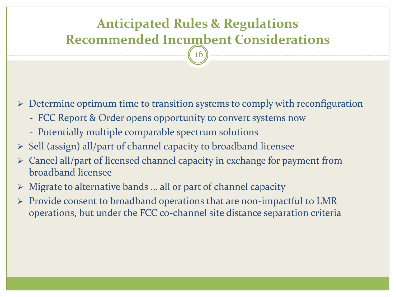### **Anticipated Rules & Regulations Recommended Incumbent Considerations**

16

➢ Determine optimum time to transition systems to comply with reconfiguration

- FCC Report & Order opens opportunity to convert systems now
- Potentially multiple comparable spectrum solutions
- ➢ Sell (assign) all/part of channel capacity to broadband licensee
- ➢ Cancel all/part of licensed channel capacity in exchange for payment from broadband licensee
- ➢ Migrate to alternative bands … all or part of channel capacity
- ➢ Provide consent to broadband operations that are non-impactful to LMR operations, but under the FCC co-channel site distance separation criteria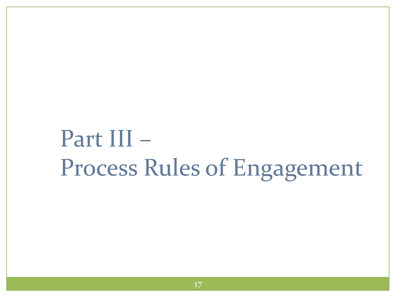# Part III – Process Rules of Engagement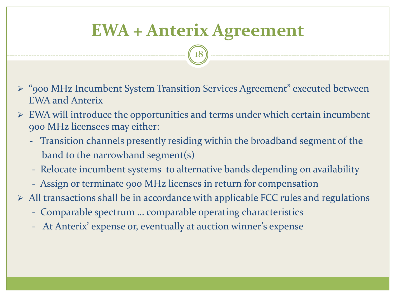### **EWA + Anterix Agreement**

- ➢ "900 MHz Incumbent System Transition Services Agreement" executed between EWA and Anterix
- $\triangleright$  EWA will introduce the opportunities and terms under which certain incumbent 900 MHz licensees may either:
	- Transition channels presently residing within the broadband segment of the band to the narrowband segment(s)
	- Relocate incumbent systems to alternative bands depending on availability
	- Assign or terminate 900 MHz licenses in return for compensation
- $\triangleright$  All transactions shall be in accordance with applicable FCC rules and regulations
	- Comparable spectrum … comparable operating characteristics
	- At Anterix' expense or, eventually at auction winner's expense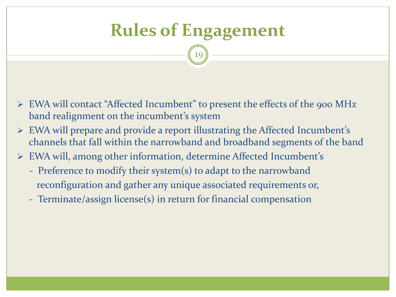## **Rules of Engagement**

- ➢ EWA will contact "Affected Incumbent" to present the effects of the 900 MHz band realignment on the incumbent's system
- ➢ EWA will prepare and provide a report illustrating the Affected Incumbent's channels that fall within the narrowband and broadband segments of the band
- ➢ EWA will, among other information, determine Affected Incumbent's
	- Preference to modify their system(s) to adapt to the narrowband reconfiguration and gather any unique associated requirements or,
	- Terminate/assign license(s) in return for financial compensation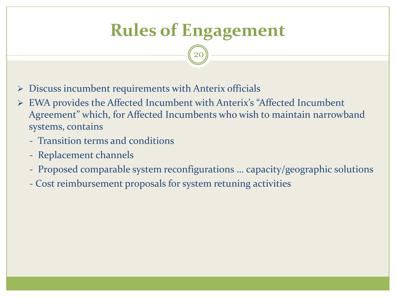## **Rules of Engagement**

- $\triangleright$  Discuss incumbent requirements with Anterix officials
- ➢ EWA provides the Affected Incumbent with Anterix's "Affected Incumbent Agreement" which, for Affected Incumbents who wish to maintain narrowband systems, contains
	- Transition terms and conditions
	- Replacement channels
	- Proposed comparable system reconfigurations … capacity/geographic solutions
	- Cost reimbursement proposals for system retuning activities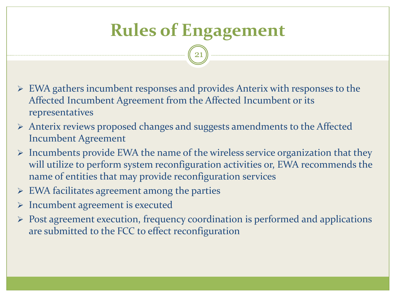## **Rules of Engagement**

- ➢ EWA gathers incumbent responses and provides Anterix with responses to the Affected Incumbent Agreement from the Affected Incumbent or its representatives
- ➢ Anterix reviews proposed changes and suggests amendments to the Affected Incumbent Agreement
- ➢ Incumbents provide EWA the name of the wireless service organization that they will utilize to perform system reconfiguration activities or, EWA recommends the name of entities that may provide reconfiguration services
- $\triangleright$  EWA facilitates agreement among the parties
- ➢ Incumbent agreement is executed
- ➢ Post agreement execution, frequency coordination is performed and applications are submitted to the FCC to effect reconfiguration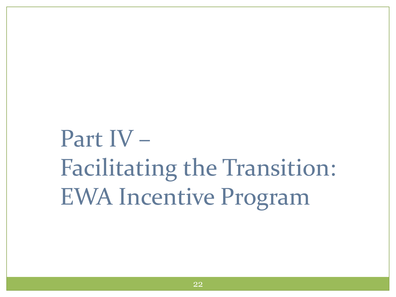# Part IV – Facilitating the Transition: EWA Incentive Program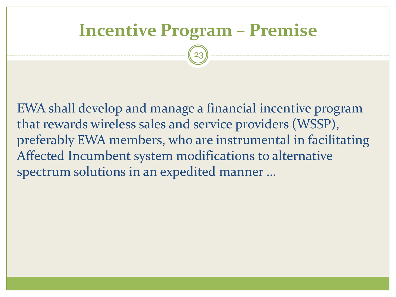### **Incentive Program – Premise**

23

EWA shall develop and manage a financial incentive program that rewards wireless sales and service providers (WSSP), preferably EWA members, who are instrumental in facilitating Affected Incumbent system modifications to alternative spectrum solutions in an expedited manner …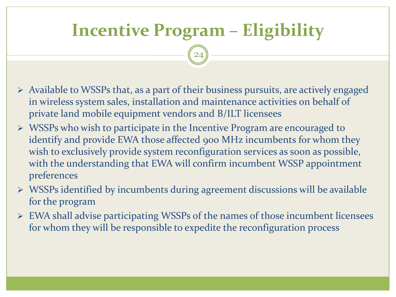### **Incentive Program – Eligibility**

- ➢ Available to WSSPs that, as a part of their business pursuits, are actively engaged in wireless system sales, installation and maintenance activities on behalf of private land mobile equipment vendors and B/ILT licensees
- ➢ WSSPs who wish to participate in the Incentive Program are encouraged to identify and provide EWA those affected 900 MHz incumbents for whom they wish to exclusively provide system reconfiguration services as soon as possible, with the understanding that EWA will confirm incumbent WSSP appointment preferences
- ➢ WSSPs identified by incumbents during agreement discussions will be available for the program
- ➢ EWA shall advise participating WSSPs of the names of those incumbent licensees for whom they will be responsible to expedite the reconfiguration process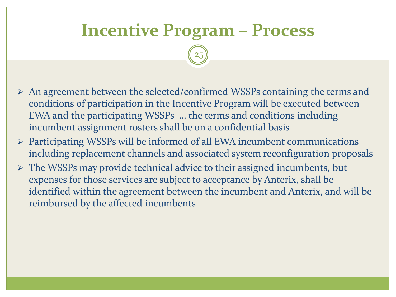### **Incentive Program – Process**

- ➢ An agreement between the selected/confirmed WSSPs containing the terms and conditions of participation in the Incentive Program will be executed between EWA and the participating WSSPs … the terms and conditions including incumbent assignment rosters shall be on a confidential basis
- ➢ Participating WSSPs will be informed of all EWA incumbent communications including replacement channels and associated system reconfiguration proposals
- ➢ The WSSPs may provide technical advice to their assigned incumbents, but expenses for those services are subject to acceptance by Anterix, shall be identified within the agreement between the incumbent and Anterix, and will be reimbursed by the affected incumbents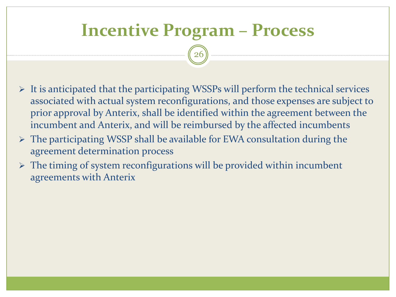### **Incentive Program – Process**

- $\triangleright$  It is anticipated that the participating WSSPs will perform the technical services associated with actual system reconfigurations, and those expenses are subject to prior approval by Anterix, shall be identified within the agreement between the incumbent and Anterix, and will be reimbursed by the affected incumbents
- ➢ The participating WSSP shall be available for EWA consultation during the agreement determination process
- $\triangleright$  The timing of system reconfigurations will be provided within incumbent agreements with Anterix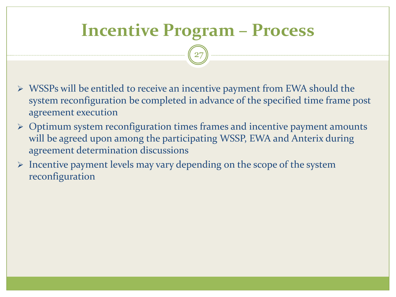### **Incentive Program – Process**

- ➢ WSSPs will be entitled to receive an incentive payment from EWA should the system reconfiguration be completed in advance of the specified time frame post agreement execution
- ➢ Optimum system reconfiguration times frames and incentive payment amounts will be agreed upon among the participating WSSP, EWA and Anterix during agreement determination discussions
- ➢ Incentive payment levels may vary depending on the scope of the system reconfiguration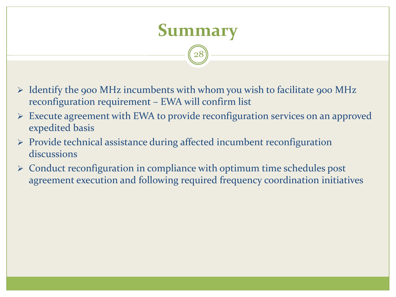![](_page_27_Picture_0.jpeg)

- ➢ Identify the 900 MHz incumbents with whom you wish to facilitate 900 MHz reconfiguration requirement – EWA will confirm list
- ➢ Execute agreement with EWA to provide reconfiguration services on an approved expedited basis
- ➢ Provide technical assistance during affected incumbent reconfiguration discussions
- ➢ Conduct reconfiguration in compliance with optimum time schedules post agreement execution and following required frequency coordination initiatives